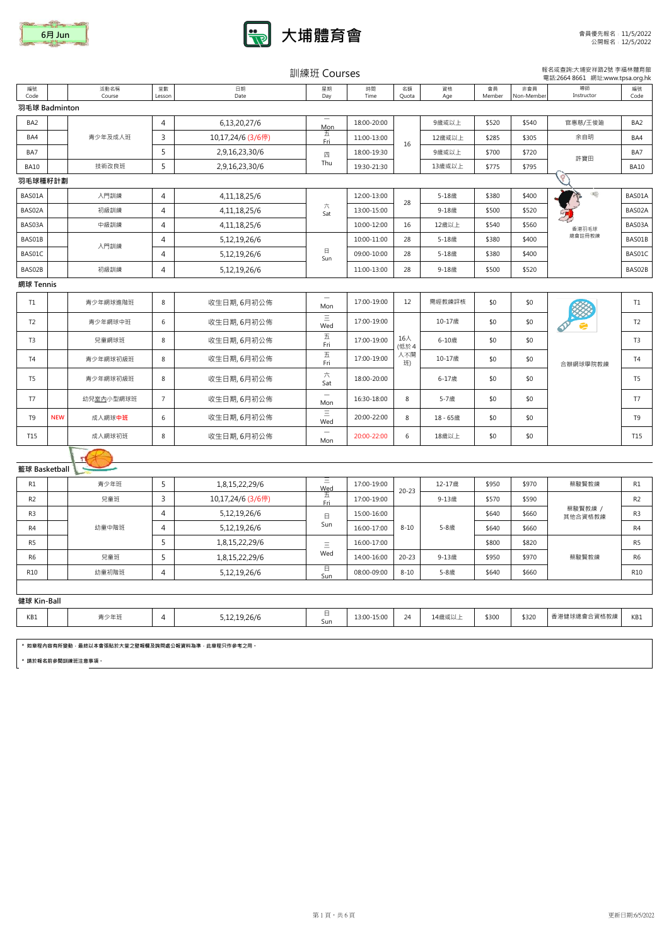



| 訓練班 Courses | 報名或查詢:大埔安祥路2號 李福林體育館 |
|-------------|----------------------|
|             |                      |

|                 |            |                   |                |                                                      | <b>PIII DATA COULDED</b>               |             |             |           |              |                   | 電話:2664 8661 網址:www.tpsa.org.hk |                |
|-----------------|------------|-------------------|----------------|------------------------------------------------------|----------------------------------------|-------------|-------------|-----------|--------------|-------------------|---------------------------------|----------------|
| 編號<br>Code      |            | 活動名稱<br>Course    | 堂數<br>Lesson   | 日期<br>Date                                           | 星期<br>Day                              | 時間<br>Time  | 名額<br>Quota | 資格<br>Age | 會員<br>Member | 非會員<br>Non-Member | 導師<br>Instructor                | 編號<br>Code     |
| 羽毛球 Badminton   |            |                   |                |                                                      |                                        |             |             |           |              |                   |                                 |                |
| BA <sub>2</sub> |            |                   | 4              | 6,13,20,27/6                                         | $\hspace{0.1mm}-\hspace{0.1mm}$<br>Mon | 18:00-20:00 |             | 9歳或以上     | \$520        | \$540             | 官惠慈/王俊廸                         | BA2            |
| BA4             |            | 青少年及成人班           | 3              | 10,17,24/6 (3/6停)                                    | 五<br>Fri                               | 11:00-13:00 | 16          | 12歳或以上    | \$285        | \$305             | 余自明                             | BA4            |
| BA7             |            |                   | 5              | 2,9,16,23,30/6                                       | 四                                      | 18:00-19:30 |             | 9歳或以上     | \$700        | \$720             | 許寶田                             | BA7            |
| <b>BA10</b>     |            | 技術改良班             | 5              | 2,9,16,23,30/6                                       | Thu                                    | 19:30-21:30 |             | 13歳或以上    | \$775        | \$795             |                                 | <b>BA10</b>    |
| 羽毛球種籽計劃         |            |                   |                |                                                      |                                        |             |             |           |              |                   |                                 |                |
| BAS01A          |            | 入門訓練              | $\overline{4}$ | 4, 11, 18, 25/6                                      |                                        | 12:00-13:00 | 28          | 5-18歳     | \$380        | \$400             | 工                               | BAS01A         |
| BAS02A          |            | 初級訓練              | $\overline{4}$ | 4, 11, 18, 25/6                                      | 六<br>Sat                               | 13:00-15:00 |             | 9-18歳     | \$500        | \$520             |                                 | BAS02A         |
| BAS03A          |            | 中級訓練              | 4              | 4, 11, 18, 25/6                                      |                                        | 10:00-12:00 | 16          | 12歳以上     | \$540        | \$560             | 香港羽毛球                           | BAS03A         |
| BAS01B          |            | 入門訓練              | 4              | 5,12,19,26/6                                         |                                        | 10:00-11:00 | 28          | 5-18歳     | \$380        | \$400             | 總會註冊教練                          | BAS01B         |
| BAS01C          |            |                   | 4              | 5,12,19,26/6                                         | $\boxminus$<br>Sun                     | 09:00-10:00 | 28          | 5-18歳     | \$380        | \$400             |                                 | BAS01C         |
| BAS02B          |            | 初級訓練              | 4              | 5,12,19,26/6                                         |                                        | 11:00-13:00 | 28          | 9-18歳     | \$500        | \$520             |                                 | BAS02B         |
| 網球 Tennis       |            |                   |                |                                                      |                                        |             |             |           |              |                   |                                 |                |
| T1              |            | 青少年網球進階班          | 8              | 收生日期, 6月初公佈                                          | Mon                                    | 17:00-19:00 | 12          | 需經教練評核    | \$0          | \$0               |                                 | T1             |
| T <sub>2</sub>  |            | 青少年網球中班           | 6              | 收生日期, 6月初公佈                                          | $\equiv$<br>Wed                        | 17:00-19:00 |             | 10-17歳    | \$0          | \$0               |                                 | T <sub>2</sub> |
| T <sub>3</sub>  |            | 兒童網球班             | 8              | 收生日期, 6月初公佈                                          | $\overline{\mathrm{h}}$<br>Fri         | 17:00-19:00 | 16人<br>(低於4 | 6-10歳     | \$0          | \$0               |                                 | T <sub>3</sub> |
| T <sub>4</sub>  |            | 青少年網球初級班          | 8              | 收生日期, 6月初公佈                                          | $\overline{\mathrm{h}}$<br>Fri         | 17:00-19:00 | 人不開<br>班)   | 10-17歳    | \$0          | \$0               | 合辦網球學院教練                        | T <sub>4</sub> |
| T <sub>5</sub>  |            | 青少年網球初級班          | 8              | 收生日期, 6月初公佈                                          | 六<br>Sat                               | 18:00-20:00 |             | 6-17歳     | \$0          | \$0               |                                 | T <sub>5</sub> |
| T7              |            | 幼兒室內小型網球班         | $\overline{7}$ | 收生日期, 6月初公佈                                          | $\overline{\phantom{m}}$<br>Mon        | 16:30-18:00 | 8           | 5-7歲      | \$0          | \$0               |                                 | T7             |
| T9              | <b>NEW</b> | 成人網球中班            | 6              | 收生日期, 6月初公佈                                          | Ξ<br>Wed                               | 20:00-22:00 | 8           | 18-65歳    | \$0          | \$0               |                                 | T9             |
| T15             |            | 成人網球初班            | 8              | 收生日期, 6月初公佈                                          | $\overline{\phantom{m}}$<br>Mon        | 20:00-22:00 | 6           | 18歲以上     | \$0          | \$0               |                                 | T15            |
|                 |            |                   |                |                                                      |                                        |             |             |           |              |                   |                                 |                |
| 籃球 Basketball   |            |                   |                |                                                      |                                        |             |             |           |              |                   |                                 |                |
| R1              |            | 青少年班              | 5              | 1,8,15,22,29/6                                       | Ξ<br>$\frac{\text{Wed}}{\pm}$          | 17:00-19:00 | $20 - 23$   | 12-17歲    | \$950        | \$970             | 蔡駿賢教練                           | R1             |
| R <sub>2</sub>  |            | 兒童班               | 3              | 10,17,24/6 (3/6停)                                    | <b>Fri</b>                             | 17:00-19:00 |             | 9-13歳     | \$570        | \$590             |                                 | R <sub>2</sub> |
| R3              |            |                   | $\overline{4}$ | 5,12,19,26/6                                         | 日                                      | 15:00-16:00 |             |           | \$640        | \$660             | 蔡駿賢教練 /<br>其他合資格教練              | R <sub>3</sub> |
| R4              |            | 幼童中階班             | 4              | 5,12,19,26/6                                         | Sun                                    | 16:00-17:00 | $8 - 10$    | 5-8歲      | \$640        | \$660             |                                 | R4             |
| R5              |            |                   | 5              | 1,8,15,22,29/6                                       | $\equiv$                               | 16:00-17:00 |             |           | \$800        | \$820             |                                 | R <sub>5</sub> |
| R6              |            | 兒童班               | 5              | 1,8,15,22,29/6                                       | Wed                                    | 14:00-16:00 | $20 - 23$   | 9-13歳     | \$950        | \$970             | 蔡駿賢教練                           | R <sub>6</sub> |
| R10             |            | 幼童初階班             | 4              | 5,12,19,26/6                                         | 日<br>Sun                               | 08:00-09:00 | $8 - 10$    | 5-8歲      | \$640        | \$660             |                                 | R10            |
|                 |            |                   |                |                                                      |                                        |             |             |           |              |                   |                                 |                |
| 健球 Kin-Ball     |            |                   |                |                                                      |                                        |             |             |           |              |                   |                                 |                |
| KB1             |            | 青少年班              | 4              | 5,12,19,26/6                                         | 日<br>Sun                               | 13:00-15:00 | 24          | 14歳或以上    | \$300        | \$320             | 香港健球總會合資格教練                     | KB1            |
|                 |            |                   |                |                                                      |                                        |             |             |           |              |                   |                                 |                |
|                 |            | * 請於報名前參閱訓練班注意事項。 |                | * 如章程内容有所變動 · 最終以本會張貼於大堂之壁報欄及詢問處公報資料為準 · 此章程只作參考之用 · |                                        |             |             |           |              |                   |                                 |                |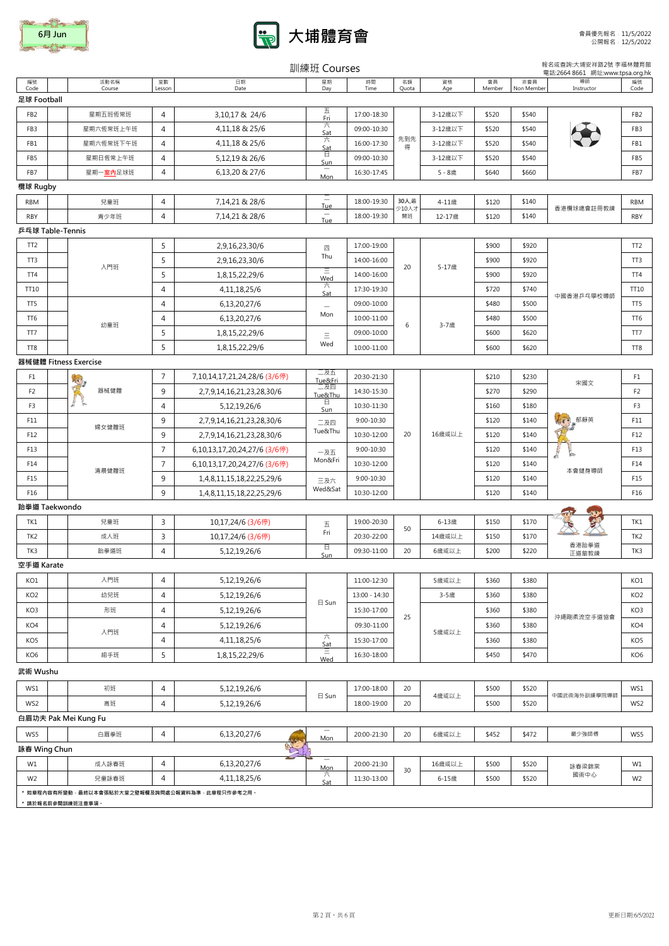| 6月 Jun |
|--------|
|        |



|                 |                                                                      |                |                              | 訓練班 Courses                            |               |                                |                  |              |                   | 報名或查詢:大埔安祥路2號 李福林體育館<br>電話:2664 8661 網址:www.tpsa.org.hk |                 |
|-----------------|----------------------------------------------------------------------|----------------|------------------------------|----------------------------------------|---------------|--------------------------------|------------------|--------------|-------------------|---------------------------------------------------------|-----------------|
| 編號<br>Code      | 活動名稱<br>Course                                                       | 堂數<br>Lesson   | 日期<br>Date                   | 星期<br>Day                              | 時間<br>Time    | 名額<br>Quota                    | 資格<br>Age        | 會員<br>Member | 非會員<br>Non Member | 導師<br>Instructor                                        | 編號<br>Code      |
| 足球 Football     |                                                                      |                |                              |                                        |               |                                |                  |              |                   |                                                         |                 |
| FB <sub>2</sub> | 星期五班恆常班                                                              | $\overline{4}$ | 3,10,17 & 24/6               | 五<br>Fri                               | 17:00-18:30   |                                | 3-12歳以下          | \$520        | \$540             |                                                         | FB <sub>2</sub> |
| FB3             | 星期六恆常班上午班                                                            | 4              | 4,11,18 & 25/6               | 六<br>Sat                               | 09:00-10:30   |                                | 3-12歲以下          | \$520        | \$540             |                                                         | FB3             |
| FB1             | 星期六恆常班下午班                                                            | 4              | 4,11,18 & 25/6               | 六<br>Sat                               | 16:00-17:30   | 先到先<br>得                       | 3-12歳以下          | \$520        | \$540             |                                                         | FB1             |
| FB5             | 星期日恆常上午班                                                             | 4              | 5,12,19 & 26/6               | 日                                      | 09:00-10:30   |                                | 3-12歳以下<br>\$520 |              | \$540             |                                                         | FB5             |
| FB7             | 星期一 <mark>室內</mark> 足球班                                              | $\overline{4}$ | 6,13,20 & 27/6               | Sun<br>Mon                             | 16:30-17:45   |                                | 5-8歳             | \$640        | \$660             |                                                         | FB7             |
| 欖球 Rugby        |                                                                      |                |                              |                                        |               |                                |                  |              |                   |                                                         |                 |
| <b>RBM</b>      | 兒童班                                                                  | 4              | 7,14,21 & 28/6               | $\overline{\phantom{0}}$<br><b>Tue</b> | 18:00-19:30   | 30人,最                          | 4-11歳            | \$120        | \$140             |                                                         | <b>RBM</b>      |
| <b>RBY</b>      | 青少年班                                                                 | $\overline{4}$ | 7,14,21 & 28/6               | Tue                                    | 18:00-19:30   | 少10人才<br>開班                    | 12-17歳           | \$120        | \$140             | 香港欖球總會註冊教練                                              | <b>RBY</b>      |
|                 | 乒乓球 Table-Tennis                                                     |                |                              |                                        |               |                                |                  |              |                   |                                                         |                 |
| TT <sub>2</sub> |                                                                      | 5              | 2,9,16,23,30/6               | 四                                      | 17:00-19:00   |                                |                  | \$900        | \$920             |                                                         | TT <sub>2</sub> |
| TT3             |                                                                      | 5              | 2,9,16,23,30/6               | Thu                                    | 14:00-16:00   |                                |                  | \$900        | \$920             |                                                         | TT3             |
| TT4             | 入門班                                                                  | 5              | 1,8,15,22,29/6               | $\equiv$<br>Wed                        | 14:00-16:00   | 20                             | 5-17歲            | \$900        | \$920             |                                                         | TT4             |
| TT10            |                                                                      | 4              | 4, 11, 18, 25/6              | 六<br>Sat                               | 17:30-19:30   |                                |                  | \$720        | \$740             |                                                         | TT10            |
| TT <sub>5</sub> |                                                                      | $\overline{4}$ | 6,13,20,27/6                 | $\overline{\phantom{a}}$               | 09:00-10:00   |                                |                  | \$480        | \$500             | 中國香港乒乓學校導師                                              | TT5             |
| TT <sub>6</sub> |                                                                      | $\overline{4}$ | 6,13,20,27/6                 | Mon                                    | 10:00-11:00   |                                |                  | \$480        | \$500             |                                                         | TT6             |
| TT7             | 幼童班                                                                  | 5              | 1,8,15,22,29/6               | Ξ                                      | 09:00-10:00   | 6                              | 3-7歲             | \$600        | \$620             |                                                         | TT7             |
| TT <sub>8</sub> |                                                                      | 5              | 1,8,15,22,29/6               | Wed                                    | 10:00-11:00   |                                |                  | \$600        | \$620             |                                                         | TT8             |
|                 | 器械健體 Fitness Exercise                                                |                |                              |                                        |               |                                |                  |              |                   |                                                         |                 |
| F1              | ぼく                                                                   | 7              | 7,10,14,17,21,24,28/6 (3/6停) | 二及五<br>Tue&Fri                         | 20:30-21:30   |                                |                  | \$210        | \$230             |                                                         | F1              |
| F <sub>2</sub>  | 器械健體                                                                 | 9              | 2,7,9,14,16,21,23,28,30/6    | 二及四<br>Tue&Thu                         | 14:30-15:30   |                                |                  | \$270        | \$290             | 宋國文                                                     | F <sub>2</sub>  |
| F3              |                                                                      | $\overline{4}$ | 5,12,19,26/6                 | 日<br>Sun                               | 10:30-11:30   |                                |                  | \$160        | \$180             | $\sqrt{2}$<br>郁靜英                                       | F <sub>3</sub>  |
| F11             |                                                                      | 9              | 2,7,9,14,16,21,23,28,30/6    | 二及四                                    | 9:00-10:30    |                                |                  | \$120        | \$140             |                                                         | F11             |
| F12             | 婦女健體班                                                                | 9              | 2,7,9,14,16,21,23,28,30/6    | Tue&Thu                                | 10:30-12:00   | 16歲或以上<br>20<br>\$140<br>\$120 |                  | F12          |                   |                                                         |                 |
| F13             |                                                                      | $\overline{7}$ | 6,10,13,17,20,24,27/6 (3/6停) | 一及五                                    | 9:00-10:30    |                                |                  | \$120        | \$140             |                                                         | F13             |
| F14             |                                                                      | $\overline{7}$ | 6,10,13,17,20,24,27/6 (3/6停) | Mon&Fri                                | 10:30-12:00   |                                |                  | \$120        | \$140             |                                                         | F14             |
| F15             | 清晨健體班                                                                | 9              | 1,4,8,11,15,18,22,25,29/6    | 三及六                                    | 9:00-10:30    |                                |                  | \$120        | \$140             | 本會健身導師                                                  | F15             |
| F16             |                                                                      | 9              | 1,4,8,11,15,18,22,25,29/6    | Wed&Sat                                | 10:30-12:00   |                                |                  | \$120        | \$140             |                                                         | F16             |
|                 | 跆拳道 Taekwondo                                                        |                |                              |                                        |               |                                |                  |              |                   |                                                         |                 |
| TK1             | 兒童班                                                                  | 3              | 10,17,24/6 (3/6停)            | 五                                      | 19:00-20:30   |                                | 6-13歳            | \$150        | \$170             |                                                         | TK1             |
| TK <sub>2</sub> | 成人班                                                                  | 3              | 10,17,24/6 (3/6停)            | Fri                                    | 20:30-22:00   | 50                             | 14歳或以上           | \$150        | \$170             |                                                         | TK <sub>2</sub> |
| TK3             | 跆拳道班                                                                 | $\overline{4}$ | 5,12,19,26/6                 | 日<br>Sun                               | 09:30-11:00   | 20                             | 6歳或以上            | \$200        | \$220             | 香港跆拳道<br>正道舘教練                                          | TK3             |
| 空手道 Karate      |                                                                      |                |                              |                                        |               |                                |                  |              |                   |                                                         |                 |
| KO1             | 入門班                                                                  | 4              | 5,12,19,26/6                 |                                        | 11:00-12:30   |                                | 5歲或以上            | \$360        | \$380             |                                                         | KO1             |
| KO <sub>2</sub> | 幼兒班                                                                  | 4              | 5,12,19,26/6                 |                                        | 13:00 - 14:30 |                                | 3-5歲             | \$360        | \$380             |                                                         | KO <sub>2</sub> |
| KO3             | 形班                                                                   | 4              | 5,12,19,26/6                 | $\boxminus$ Sun                        | 15:30-17:00   |                                |                  | \$360        | \$380             |                                                         | KO3             |
| KO4             |                                                                      | 4              | 5,12,19,26/6                 |                                        | 09:30-11:00   | 25                             |                  | \$360        | \$380             | 沖繩剛柔流空手道協會                                              | KO4             |
| KO5             | 入門班                                                                  | 4              | 4,11,18,25/6                 | 六<br>Sat                               | 15:30-17:00   |                                | 5歳或以上            | \$360        | \$380             |                                                         | KO <sub>5</sub> |
| KO <sub>6</sub> | 組手班                                                                  | 5              | 1,8,15,22,29/6               | Wed                                    | 16:30-18:00   |                                |                  | \$450        | \$470             |                                                         | KO <sub>6</sub> |
| 武術 Wushu        |                                                                      |                |                              |                                        |               |                                |                  |              |                   |                                                         |                 |
| WS1             | 初班                                                                   | 4              | 5,12,19,26/6                 |                                        | 17:00-18:00   | 20                             |                  | \$500        | \$520             |                                                         | WS1             |
|                 |                                                                      |                |                              | $\boxminus$ Sun                        |               |                                | 4歳或以上            |              |                   | 中國武術海外訓練學院導師                                            |                 |
| WS2             | 高班                                                                   | 4              | 5,12,19,26/6                 |                                        | 18:00-19:00   | 20                             |                  | \$500        | \$520             |                                                         | WS2             |
|                 | 白眉功夫 Pak Mei Kung Fu                                                 |                |                              |                                        |               |                                |                  |              |                   |                                                         |                 |
| WS5             | 白眉拳班                                                                 | 4              | 6,13,20,27/6                 | Mon                                    | 20:00-21:30   | 20                             | 6歳或以上            | \$452        | \$472             | 嚴少強師傅                                                   | WS5             |
| 詠春 Wing Chun    |                                                                      |                | gr                           | $\overline{\phantom{a}}$               |               |                                |                  |              |                   |                                                         |                 |
| W1              | 成人詠春班                                                                | 4              | 6,13,20,27/6                 | <b>Mon</b><br>六                        | 20:00-21:30   | 30                             | 16歳或以上           | \$500        | \$520             | 詠春梁錦棠<br>國術中心                                           | W1              |
| W <sub>2</sub>  | 兒童詠春班                                                                | 4              | 4, 11, 18, 25/6              | Sat                                    | 11:30-13:00   |                                | 6-15歳            | \$500        | \$520             |                                                         | W <sub>2</sub>  |
|                 | * 如章程内容有所變動,最終以本會張貼於大堂之壁報欄及詢問處公報資料為準,此章程只作參考之用。<br>* 請於報名前參閱訓練班注意事項。 |                |                              |                                        |               |                                |                  |              |                   |                                                         |                 |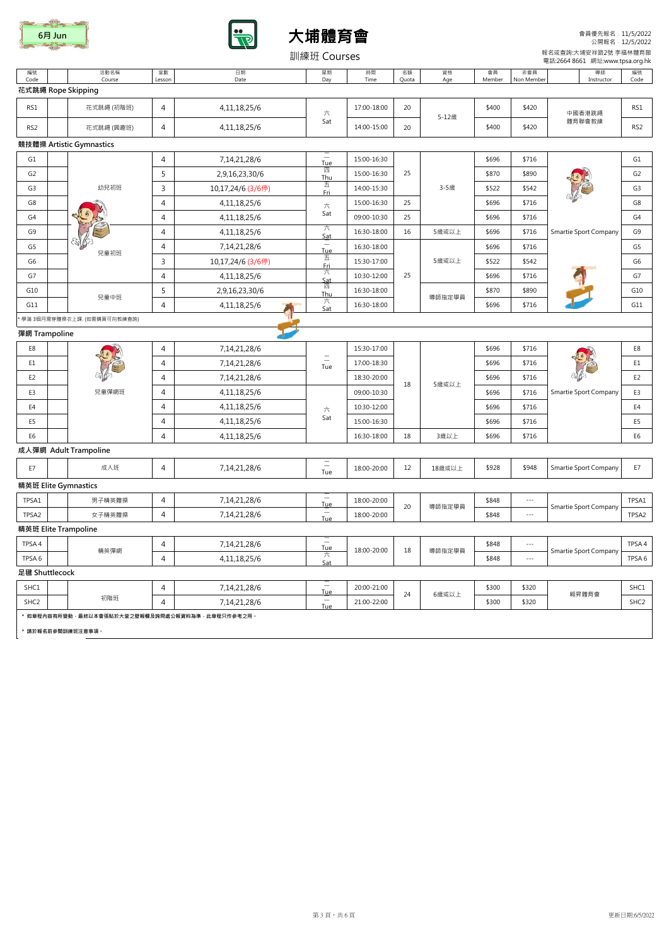





會員優先報名﹕11/5/2022 公開報名﹕12/5/2022

|                  |                                                                           |                |                                                           | 訓練班 Courses                            |             |             |           |              |                          | 報名或查詢:大埔安祥路2號 李福林體育館<br>電話:2664 8661 網址:www.tpsa.org.hk |                  |
|------------------|---------------------------------------------------------------------------|----------------|-----------------------------------------------------------|----------------------------------------|-------------|-------------|-----------|--------------|--------------------------|---------------------------------------------------------|------------------|
| 編號<br>Code       | 活動名稱<br>Course                                                            | 堂數<br>Lesson   | 日期<br>Date                                                | 星期<br>Day                              | 時間<br>Time  | 名額<br>Quota | 資格<br>Age | 會員<br>Member | 非會員<br>Non Member        | 導師<br>Instructor                                        | 編號<br>Code       |
|                  | 花式跳繩 Rope Skipping                                                        |                |                                                           |                                        |             |             |           |              |                          |                                                         |                  |
| RS1              | 花式跳繩 (初階班)                                                                | 4              | 4, 11, 18, 25/6                                           | 六                                      | 17:00-18:00 | 20          |           | \$400        | \$420                    | 中國香港跳繩                                                  | RS1              |
| RS <sub>2</sub>  | 花式跳繩 (興趣班)                                                                | 4              | 4, 11, 18, 25/6                                           | Sat                                    | 14:00-15:00 | 20          | 5-12歳     | \$400        | \$420                    | 體育聯會教練                                                  | RS <sub>2</sub>  |
|                  | 競技體操 Artistic Gymnastics                                                  |                |                                                           |                                        |             |             |           |              |                          |                                                         |                  |
| G1               |                                                                           | 4              | 7,14,21,28/6                                              | $\overline{\phantom{0}}$<br><b>Tue</b> | 15:00-16:30 |             |           | \$696        | \$716                    |                                                         | G1               |
| G <sub>2</sub>   |                                                                           | 5              | 2,9,16,23,30/6                                            | 四<br>Thu                               | 15:00-16:30 | 25          |           | \$870        | \$890                    |                                                         | G <sub>2</sub>   |
| G3               | 幼兒初班                                                                      | 3              | 10,17,24/6 (3/6停)                                         | 五<br><b>Fri</b>                        | 14:00-15:30 |             | 3-5歲      | \$522        | \$542                    |                                                         | G <sub>3</sub>   |
| G8               |                                                                           | 4              | 4,11,18,25/6                                              | 六                                      | 15:00-16:30 | 25          |           | \$696        | \$716                    |                                                         | G8               |
| G4               |                                                                           | 4              | 4, 11, 18, 25/6                                           | Sat                                    | 09:00-10:30 | 25          |           | \$696        | \$716                    |                                                         | G4               |
| G9               |                                                                           | $\overline{4}$ | 4, 11, 18, 25/6                                           | ᅔ<br>Sat                               | 16:30-18:00 | 16          | 5歲或以上     | \$696        | \$716                    | Smartie Sport Company                                   | G9               |
| G5               | 兒童初班                                                                      | 4              | 7,14,21,28/6                                              | <b>Tue</b>                             | 16:30-18:00 |             |           | \$696        | \$716                    |                                                         | G5               |
| G6               |                                                                           | 3              | 10,17,24/6 (3/6停)                                         | 五<br>Fri                               | 15:30-17:00 |             | 5歲或以上     | \$522        | \$542                    |                                                         | G6               |
| G7               |                                                                           | 4              | 4, 11, 18, 25/6                                           | 六                                      | 10:30-12:00 | 25          |           | \$696        | \$716                    | \$890                                                   | G7               |
| G10              | 兒童中班                                                                      | 5              | 2,9,16,23,30/6                                            | Sat<br>四<br>Thu                        | 16:30-18:00 |             |           | \$870        |                          |                                                         | G10              |
| G11              |                                                                           | 4              | 4, 11, 18, 25/6                                           | 六<br>Sat                               | 16:30-18:00 |             | 導師指定學員    | \$696        | \$716                    |                                                         | G11              |
|                  | 學滿 3個月需穿體操衣上課. (如需購買可向教練查詢)                                               |                |                                                           |                                        |             |             |           |              |                          |                                                         |                  |
| 彈網 Trampoline    |                                                                           |                |                                                           |                                        |             |             |           |              |                          |                                                         |                  |
| E8               |                                                                           | 4              | 7,14,21,28/6                                              |                                        | 15:30-17:00 |             |           | \$696        | \$716                    |                                                         | E8               |
| E1               |                                                                           | 4              | 7,14,21,28/6                                              | $\equiv$<br>Tue                        | 17:00-18:30 |             |           | \$696        | \$716                    |                                                         | E1               |
| E <sub>2</sub>   |                                                                           | 4              | 7,14,21,28/6                                              |                                        | 18:30-20:00 | 18          | 5歲或以上     | \$696        | \$716                    |                                                         | E <sub>2</sub>   |
| E3               | 兒童彈網班                                                                     | 4              | 4,11,18,25/6                                              |                                        | 09:00-10:30 |             |           | \$696        | \$716                    | Smartie Sport Company                                   | E3               |
| E4               |                                                                           | 4              | 4, 11, 18, 25/6                                           | 六                                      | 10:30-12:00 |             |           | \$696        | \$716                    |                                                         | E4               |
| E5               |                                                                           | 4              | 4, 11, 18, 25/6                                           | Sat                                    | 15:00-16:30 |             |           | \$696        | \$716                    |                                                         | E5               |
| E6               |                                                                           | $\overline{4}$ | 4,11,18,25/6                                              |                                        | 16:30-18:00 | 18          | 3歳以上      | \$696        | \$716                    |                                                         | E <sub>6</sub>   |
|                  | 成人彈網 Adult Trampoline                                                     |                |                                                           |                                        |             |             |           |              |                          |                                                         |                  |
| E7               | 成人班                                                                       | 4              | 7,14,21,28/6                                              | Ξ<br>Tue                               | 18:00-20:00 | 12          | 18歳或以上    | \$928        | \$948                    | Smartie Sport Company                                   | E7               |
|                  | 精英班 Elite Gymnastics                                                      |                |                                                           |                                        |             |             |           |              |                          |                                                         |                  |
| TPSA1            | 男子精英體操                                                                    | 4              | 7,14,21,28/6                                              | $\overline{\phantom{0}}$<br><b>Tue</b> | 18:00-20:00 | 20          | 導師指定學員    | \$848        | $\overline{\phantom{a}}$ | Smartie Sport Company                                   | TPSA1            |
| TPSA2            | 女子精英體操                                                                    | $\overline{4}$ | 7,14,21,28/6                                              | Ξ<br>Tue                               | 18:00-20:00 |             |           | \$848        | $\overline{\phantom{a}}$ |                                                         | TPSA2            |
|                  | 精英班 Elite Trampoline                                                      |                |                                                           |                                        |             |             |           |              |                          |                                                         |                  |
| TPSA4            | 精英彈網                                                                      | 4              | 7,14,21,28/6                                              | $\overline{\phantom{a}}$<br><b>Tue</b> | 18:00-20:00 | 18          | 導師指定學員    | \$848        | $\cdots$ .               | Smartie Sport Company                                   | TPSA 4           |
| TPSA 6           |                                                                           | 4              | 4, 11, 18, 25/6                                           | ╱╲<br>Sat                              |             |             |           | \$848        | $\cdots$ .               |                                                         | TPSA 6           |
| 足毽 Shuttlecock   |                                                                           |                |                                                           |                                        |             |             |           |              |                          |                                                         |                  |
| SHC1             |                                                                           | 4              | $\sim$<br>20:00-21:00<br>7,14,21,28/6<br><b>Tue</b><br>24 |                                        | 6歳或以上       | \$300       | \$320     |              | SHC1                     |                                                         |                  |
| SHC <sub>2</sub> | 初階班                                                                       | 4              | 7,14,21,28/6                                              | Ξ<br>Tue                               | 21:00-22:00 |             |           | \$300        | \$320                    | 翱昇體育會                                                   | SHC <sub>2</sub> |
|                  | * 如章程内容有所變動 · 最終以本會張贴於大堂之壁報欄及詢問處公報資料為準 · 此章程只作參考之用 ·<br>* 請於報名前參閱訓練班注意事項。 |                |                                                           |                                        |             |             |           |              |                          |                                                         |                  |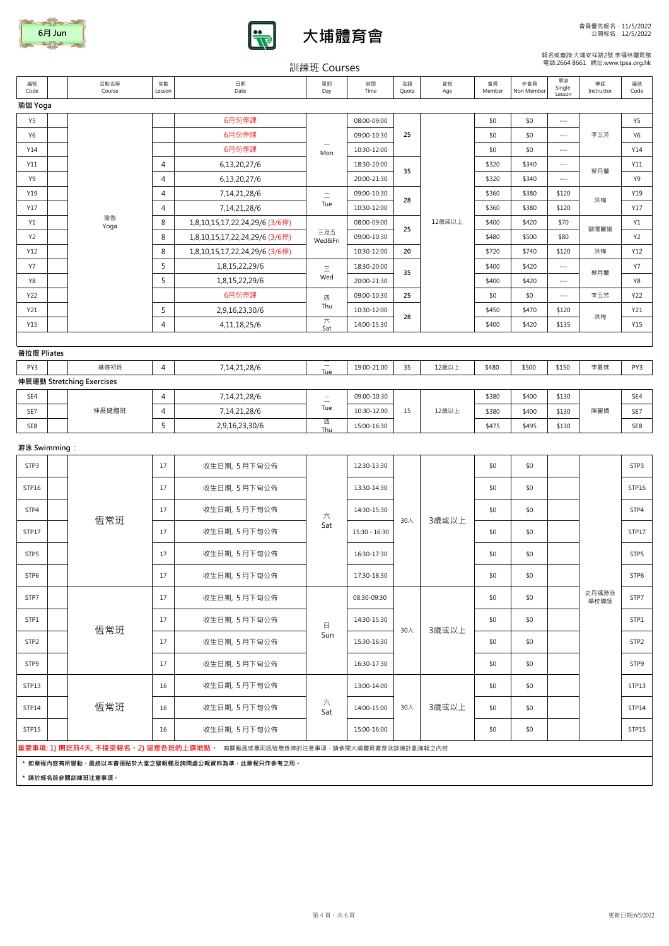





## 報名或查詢:大埔安祥路2號 李福林體育館 電話:2664 8661 網址:www.tpsa.org.hk

|                  |                           |                |                                                                                    | 訓練班 Courses                     |                            |             |           |                |                   |                          | 電話:2664 8661 網址:www.tpsa.org.hk  |            |
|------------------|---------------------------|----------------|------------------------------------------------------------------------------------|---------------------------------|----------------------------|-------------|-----------|----------------|-------------------|--------------------------|----------------------------------|------------|
| 編號<br>Code       | 活動名稱<br>Course            | 堂數<br>Lesson   | 日期<br>Date                                                                         | 星期<br>Day                       | 時間<br>Time                 | 名額<br>Quota | 資格<br>Age | 會員<br>Member   | 非會員<br>Non Member | 單堂<br>Single<br>Lesson   | 導師<br>Instructor                 | 編號<br>Code |
| 瑜伽 Yoga          |                           |                |                                                                                    |                                 |                            |             |           |                |                   |                          |                                  |            |
| Y5               |                           |                | 6月份停課                                                                              |                                 | 08:00-09:00                |             |           | \$0            | \$0               | $\overline{\phantom{a}}$ |                                  | Y5         |
| Y6               |                           |                | 6月份停課                                                                              |                                 | 09:00-10:30                | 25          |           | \$0            | \$0               | $\overline{\phantom{a}}$ | 李玉芳                              | Y6         |
| Y14              |                           |                | 6月份停課                                                                              | Mon                             | 10:30-12:00                |             |           | \$0            | \$0               | $\sim$ $\sim$ $\sim$     |                                  | Y14        |
| Y11              |                           | 4              | 6,13,20,27/6                                                                       |                                 | 18:30-20:00                | 35          |           | \$320          | \$340             | $\overline{\phantom{a}}$ | 蔡月蘭                              | Y11        |
| Y9               |                           | $\overline{4}$ | 6,13,20,27/6                                                                       |                                 | 20:00-21:30                |             |           | \$320          | \$340             | $\overline{\phantom{a}}$ |                                  | Y9         |
| Y19              |                           | 4              | 7,14,21,28/6                                                                       | $\equiv$<br>Tue                 | 09:00-10:30                | 28          |           | \$360          | \$380             | \$120                    | 洪梅<br>歐陽麗娟                       | Y19        |
| Y17              | 瑜伽                        | $\overline{4}$ | 7,14,21,28/6                                                                       |                                 | 10:30-12:00                |             |           | \$360          | \$380             | \$120                    |                                  | Y17        |
| Y1               | Yoga                      | 8              | 1,8,10,15,17,22,24,29/6 (3/6停)                                                     | 三及五                             | 08:00-09:00                | 25          | 12歳或以上    | \$400          | \$420             | \$70                     |                                  | Y1         |
| Y2<br>Y12        |                           | 8<br>8         | 1,8,10,15,17,22,24,29/6 (3/6停)<br>1,8,10,15,17,22,24,29/6 (3/6停)                   | Wed&Fri                         | 09:00-10:30<br>10:30-12:00 | 20          |           | \$480<br>\$720 | \$500<br>\$740    | \$80<br>\$120            |                                  | Y2<br>Y12  |
| Υ7               |                           | 5              | 1,8,15,22,29/6                                                                     |                                 | 18:30-20:00                |             |           | \$400          | \$420             |                          | $\cdots$<br>蔡月蘭<br>李玉芳           | <b>Y7</b>  |
| Y8               |                           | 5              | 1,8,15,22,29/6                                                                     | $\equiv$<br>Wed                 | 20:00-21:30                | 35          |           | \$400          | \$420             | $\cdots$                 |                                  | Y8         |
| Y22              |                           |                | 6月份停課                                                                              | 四                               | 09:00-10:30                | 25          |           | \$0            | \$0               | $\cdots$                 |                                  | Y22        |
| Y21              |                           | 5              | 2,9,16,23,30/6                                                                     | Thu                             | 10:30-12:00                |             |           | \$450          | \$470             | \$120                    |                                  | Y21        |
| Y15              |                           | 4              | 4, 11, 18, 25/6                                                                    | 六<br>Sat                        | 14:00-15:30                | 28          |           | \$400          | \$420             | \$135                    |                                  | Y15        |
|                  |                           |                |                                                                                    |                                 |                            |             |           |                |                   |                          |                                  |            |
| 普拉提 Pliates      |                           |                |                                                                                    |                                 |                            |             |           |                |                   |                          |                                  |            |
| PY3              | 基礎初班                      | $\overline{4}$ | 7,14,21,28/6                                                                       | $\overline{\phantom{m}}$<br>Tue | 19:00-21:00                | 35          | 12歳以上     | \$480          | \$500             | \$150                    | 李夏妹                              | PY3        |
|                  | 伸展運動 Stretching Exercises |                |                                                                                    |                                 |                            |             |           |                |                   |                          |                                  |            |
| SE4              |                           | 4              | 7,14,21,28/6                                                                       | $=$<br>Tue                      | 09:00-10:30                |             |           | \$380          | \$400             | \$130                    |                                  | SE4        |
| SE7              |                           | 4              | 7,14,21,28/6                                                                       | 四                               | 10:30-12:00                | 15          | 12歲以上     | \$380          | \$400             | \$130                    |                                  | SE7        |
| SE8              |                           | 5              | 2,9,16,23,30/6                                                                     | Thu                             | 15:00-16:30                |             |           | \$475          | \$495             | \$130                    |                                  | SE8        |
| 游泳 Swimming :    |                           |                |                                                                                    |                                 |                            |             |           |                |                   |                          |                                  |            |
| STP3             |                           | 17             | 收生日期, 5月下旬公佈                                                                       |                                 | 12:30-13:30                |             |           | \$0            | \$0               |                          |                                  | STP3       |
| STP16            |                           | 17             | 收生日期, 5月下旬公佈                                                                       |                                 | 13:30-14:30                |             |           | \$0            | \$0               |                          |                                  | STP16      |
| STP4             | 伸展健體班<br>恆常班              | 17             | 收生日期, 5月下旬公佈                                                                       | 六                               | 14:30-15:30                | 30人         | 3歲或以上     | \$0            | \$0               |                          |                                  | STP4       |
| STP17            |                           | 17             | 收生日期, 5月下旬公佈                                                                       | Sat                             | 15:30 - 16:30              |             |           | \$0            | \$0               |                          |                                  | STP17      |
| STP5             |                           | 17             | 收生日期, 5月下旬公佈                                                                       |                                 | 16:30-17:30                |             |           | \$0            | \$0               |                          | 洪梅<br>洪梅<br>陳麗媚<br>史丹福游泳<br>學校導師 | STP5       |
| STP6             |                           | 17             | 收生日期, 5月下旬公佈                                                                       |                                 | 17:30-18:30                |             |           | \$0            | \$0               |                          |                                  | STP6       |
| STP7             |                           | 17             | 收生日期, 5月下旬公佈                                                                       |                                 | 08:30-09:30                |             |           | \$0            | \$0               |                          |                                  | STP7       |
| STP1             | 恆常班                       | 17             | 收生日期, 5月下旬公佈                                                                       | $\boxminus$                     | 14:30-15:30                | 30人         | 3歲或以上     | \$0            | \$0               |                          |                                  | STP1       |
| STP <sub>2</sub> |                           | 17             | 收生日期, 5月下旬公佈                                                                       | Sun                             | 15:30-16:30                |             |           | \$0            | \$0               |                          |                                  | STP2       |
| STP9             |                           | 17             | 收生日期, 5月下旬公佈                                                                       |                                 | 16:30-17:30                |             |           | \$0            | \$0               |                          |                                  | STP9       |
| STP13            |                           | 16             | 收生日期, 5月下旬公佈                                                                       |                                 | 13:00-14:00                |             |           | \$0            | \$0               |                          |                                  | STP13      |
| STP14            | 恆常班                       | 16             | 收生日期, 5月下旬公佈                                                                       | 六<br>Sat                        | 14:00-15:00                | 30人         | 3歳或以上     | \$0            | \$0               |                          |                                  | STP14      |
| STP15            |                           | 16             | 收生日期, 5月下旬公佈                                                                       |                                 | 15:00-16:00                |             |           | \$0            | \$0               |                          |                                  | STP15      |
|                  |                           |                | <b>重要事項: 1) 開班前4天, 不接受報名。2) 留意各班的上課地點。</b> 有關颱風或暴雨訊號懸掛時的注意事項 · 請參閱大埔體育會游泳訓練計劃海報之內容 |                                 |                            |             |           |                |                   |                          |                                  |            |
|                  | * 請於報名前參閱訓練班注意事項。         |                | * 如章程内容有所變動·最終以本會張貼於大堂之壁報欄及詢問處公報資料為準·此章程只作參考之用。                                    |                                 |                            |             |           |                |                   |                          |                                  |            |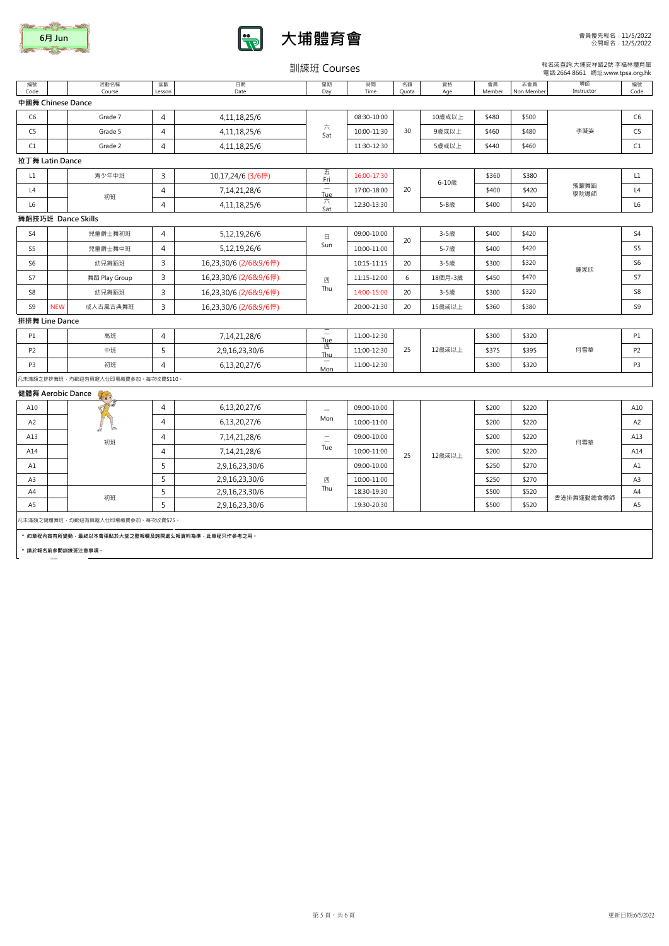|        | <b>The Common Seconds</b> |
|--------|---------------------------|
| 6月 Jun |                           |
|        |                           |



訓練班 Courses

報名或查詢:大埔安祥路2號 李福林體育館 電話:2664 8661 網址:www.tpsa.org.hk

| 編號<br>Code        |            | 活動名稱<br>Course                           | 堂數<br>Lesson   | 日期<br>Date                                           | 星期<br>Day                       | 時間<br>Time  | 名額<br>Quota | 資格<br>Age | 會員<br>Member | 非會員<br>Non Member | 導師<br>Instructor | 編號<br>Code     |
|-------------------|------------|------------------------------------------|----------------|------------------------------------------------------|---------------------------------|-------------|-------------|-----------|--------------|-------------------|------------------|----------------|
| 中國舞 Chinese Dance |            |                                          |                |                                                      |                                 |             |             |           |              |                   |                  |                |
| C <sub>6</sub>    |            | Grade 7                                  | $\overline{4}$ | 4, 11, 18, 25/6                                      |                                 | 08:30-10:00 |             | 10歲或以上    | \$480        | \$500             |                  | C <sub>6</sub> |
| C <sub>5</sub>    |            | Grade 5                                  | $\overline{4}$ | 4,11,18,25/6                                         | 六<br>Sat                        | 10:00-11:30 | 30          | 9歳或以上     | \$460        | \$480             | 李凝姿              | C <sub>5</sub> |
| C1                |            | Grade 2                                  | $\overline{4}$ | 4, 11, 18, 25/6                                      |                                 | 11:30-12:30 |             | 5歲或以上     | \$440        | \$460             |                  | C1             |
| 拉丁舞 Latin Dance   |            |                                          |                |                                                      |                                 |             |             |           |              |                   |                  |                |
| L1                |            | 青少年中班                                    | 3              | 10,17,24/6 (3/6停)                                    | 五<br>Fri                        | 16:00-17:30 |             | 6-10歳     | \$360        | \$380             |                  | $\mathsf{L}1$  |
| L4                |            | 初班                                       | $\overline{4}$ | 7,14,21,28/6                                         | $\overline{\phantom{a}}$<br>Tue | 17:00-18:00 | 20          |           | \$400        | \$420             | 飛躍舞蹈<br>學院導師     | L4             |
| L <sub>6</sub>    |            |                                          | $\overline{4}$ | 4,11,18,25/6                                         | 六<br>Sat                        | 12:30-13:30 |             | 5-8歲      | \$400        | \$420             |                  | L6             |
|                   |            | 舞蹈技巧班 Dance Skills                       |                |                                                      |                                 |             |             |           |              |                   |                  |                |
| S <sub>4</sub>    |            | 兒童爵士舞初班                                  | $\overline{4}$ | 5,12,19,26/6                                         | 日                               | 09:00-10:00 | 20          | 3-5歲      | \$400        | \$420             |                  | S4             |
| S <sub>5</sub>    |            | 兒童爵士舞中班                                  | $\overline{4}$ | 5,12,19,26/6                                         | Sun                             | 10:00-11:00 |             | 5-7歲      | \$400        | \$420             |                  | S5             |
| S <sub>6</sub>    |            | 幼兒舞蹈班                                    | $\overline{3}$ | 16,23,30/6 (2/6&9/6停)                                |                                 | 10:15-11:15 | 20          | 3-5歲      | \$300        | \$320             | 鍾家欣              | S <sub>6</sub> |
| S7                |            | 舞蹈 Play Group                            | $\overline{3}$ | 16,23,30/6 (2/6&9/6停)                                | 四<br>Thu                        | 11:15-12:00 | 6           | 18個月-3歲   | \$450        | \$470             |                  | S7             |
| S8                |            | 幼兒舞蹈班                                    | 3              | 16,23,30/6 (2/6&9/6停)                                |                                 | 14:00-15:00 | 20          | 3-5歲      | \$300        | \$320             |                  | S8             |
| S9                | <b>NEW</b> | 成人古風古典舞班                                 | 3              | 16,23,30/6 (2/6&9/6停)                                |                                 | 20:00-21:30 | 20          | 15歲或以上    | \$360        | \$380             |                  | S9             |
| 排排舞 Line Dance    |            |                                          |                |                                                      |                                 |             |             |           |              |                   |                  |                |
| <b>P1</b>         |            | 高班                                       | $\overline{4}$ | 7,14,21,28/6                                         | <b>Tue</b>                      | 11:00-12:30 |             |           | \$300        | \$320             |                  | <b>P1</b>      |
| P <sub>2</sub>    |            | 中班                                       | 5              | 2,9,16,23,30/6                                       | 四<br>Thu                        | 11:00-12:30 | 25          | 12歳或以上    | \$375        | \$395             | 何雪華              | P <sub>2</sub> |
| P3                |            | 初班                                       | $\overline{4}$ | 6,13,20,27/6                                         | $\overline{\phantom{0}}$<br>Mon | 11:00-12:30 |             |           | \$300        | \$320             |                  | P3             |
|                   |            | 凡未滿額之排排舞班 · 均歡迎有興趣人仕即場繳費參加 · 每次收費\$110 · |                |                                                      |                                 |             |             |           |              |                   |                  |                |
| 健體舞 Aerobic Dance |            |                                          |                |                                                      |                                 |             |             |           |              |                   |                  |                |
| A10               |            |                                          | $\overline{a}$ | 6,13,20,27/6                                         |                                 | 09:00-10:00 |             |           | \$200        | \$220             |                  | A10            |
| A <sub>2</sub>    |            |                                          | 4              | 6,13,20,27/6                                         | Mon                             | 10:00-11:00 |             |           | \$200        | \$220             |                  | A <sub>2</sub> |
| A13               |            | 初班                                       | $\overline{4}$ | 7,14,21,28/6                                         | $\equiv$                        | 09:00-10:00 |             |           | \$200        | \$220             | 何雪華              | A13            |
| A14               |            |                                          | $\overline{4}$ | 7,14,21,28/6                                         | Tue                             | 10:00-11:00 | 25          | 12歳或以上    | \$200        | \$220             |                  | A14            |
| A1                |            |                                          | 5              | 2,9,16,23,30/6                                       |                                 | 09:00-10:00 |             |           | \$250        | \$270             |                  | A1             |
| A3                |            |                                          | 5              | 2,9,16,23,30/6                                       | 四<br>Thu                        | 10:00-11:00 |             |           | \$250        | \$270             |                  | A3             |
| A4                |            | 初班                                       | 5              | 2,9,16,23,30/6                                       |                                 | 18:30-19:30 |             |           | \$500        | \$520             | 香港排舞運動總會導師       | A4             |
| A <sub>5</sub>    |            |                                          | 5              | 2,9,16,23,30/6                                       |                                 | 19:30-20:30 |             |           | \$500        | \$520             |                  | A5             |
|                   |            | 凡未滿額之健體舞班 · 均歡迎有興趣人仕即場繳費參加 · 每次收費\$75 ·  |                |                                                      |                                 |             |             |           |              |                   |                  |                |
|                   |            |                                          |                | * 如章程内容有所變動 · 最終以本會張貼於大堂之壁報欄及詢問處公報資料為準 · 此章程只作參考之用 · |                                 |             |             |           |              |                   |                  |                |
|                   |            | * 請於報名前參閱訓練班注意事項。                        |                |                                                      |                                 |             |             |           |              |                   |                  |                |